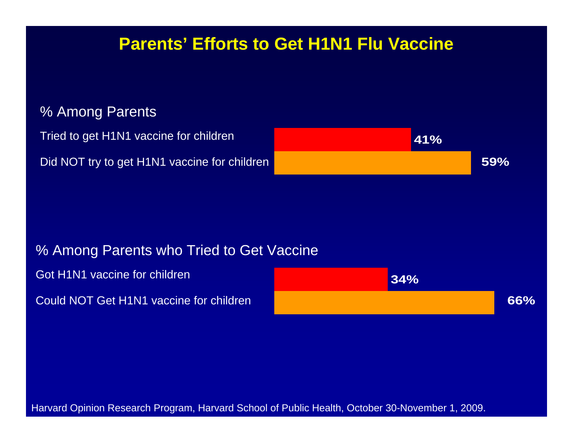## **Parents' Efforts to Get H1N1 Flu Vaccine**

#### % Among Parents

Tried to get H1N1 vaccine for children

Did NOT try to get H1N1 vaccine for children



#### % Among Parents who Tried to Get Vaccine

Got H1N1 vaccine for children

Could NOT Get H1N1 vaccine for children



Harvard Opinion Research Program, Harvard School of Public Health, October 30-November 1, 2009.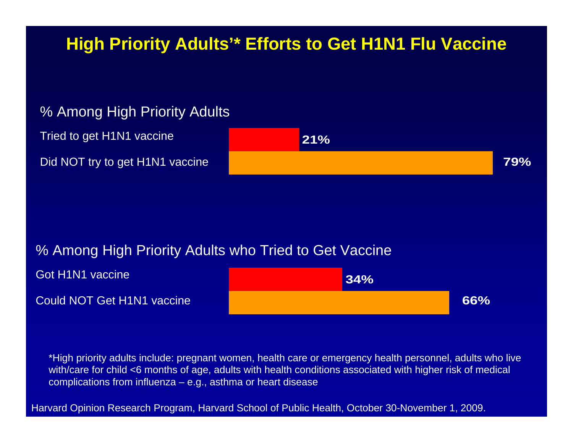## **High Priority Adults'\* Efforts to Get H1N1 Flu Vaccine**

#### % Among High Priority Adults

Tried to get H1N1 vaccine Did NOT try to get H1N1 vaccine



#### % Among High Priority Adults who Tried to Get Vaccine



\*High priority adults include: pregnant women, health care or emergency health personnel, adults who live with/care for child <6 months of age, adults with health conditions associated with higher risk of medical complications from influenza – e.g., asthma or heart disease

Harvard Opinion Research Program, Harvard School of Public Health, October 30-November 1, 2009.